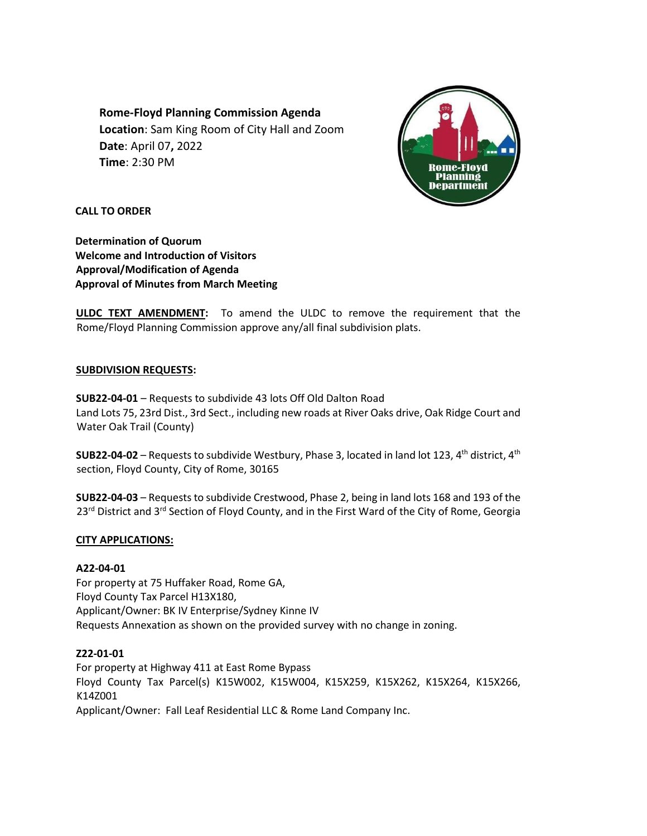**Rome-Floyd Planning Commission Agenda Location**: Sam King Room of City Hall and Zoom **Date**: April 07**,** 2022 **Time**: 2:30 PM



**CALL TO ORDER** 

**Determination of Quorum Welcome and Introduction of Visitors Approval/Modification of Agenda Approval of Minutes from March Meeting**

**ULDC TEXT AMENDMENT:** To amend the ULDC to remove the requirement that the Rome/Floyd Planning Commission approve any/all final subdivision plats.

# **SUBDIVISION REQUESTS:**

**SUB22-04-01** – Requests to subdivide 43 lots Off Old Dalton Road Land Lots 75, 23rd Dist., 3rd Sect., including new roads at River Oaks drive, Oak Ridge Court and Water Oak Trail (County)

**SUB22-04-02** – Requests to subdivide Westbury, Phase 3, located in land lot 123,  $4<sup>th</sup>$  district,  $4<sup>th</sup>$ section, Floyd County, City of Rome, 30165

**SUB22-04-03** – Requests to subdivide Crestwood, Phase 2, being in land lots 168 and 193 of the 23<sup>rd</sup> District and 3<sup>rd</sup> Section of Floyd County, and in the First Ward of the City of Rome, Georgia

# **CITY APPLICATIONS:**

#### **A22-04-01**

For property at 75 Huffaker Road, Rome GA, Floyd County Tax Parcel H13X180, Applicant/Owner: BK IV Enterprise/Sydney Kinne IV Requests Annexation as shown on the provided survey with no change in zoning.

#### **Z22-01-01**

For property at Highway 411 at East Rome Bypass Floyd County Tax Parcel(s) K15W002, K15W004, K15X259, K15X262, K15X264, K15X266, K14Z001 Applicant/Owner: Fall Leaf Residential LLC & Rome Land Company Inc.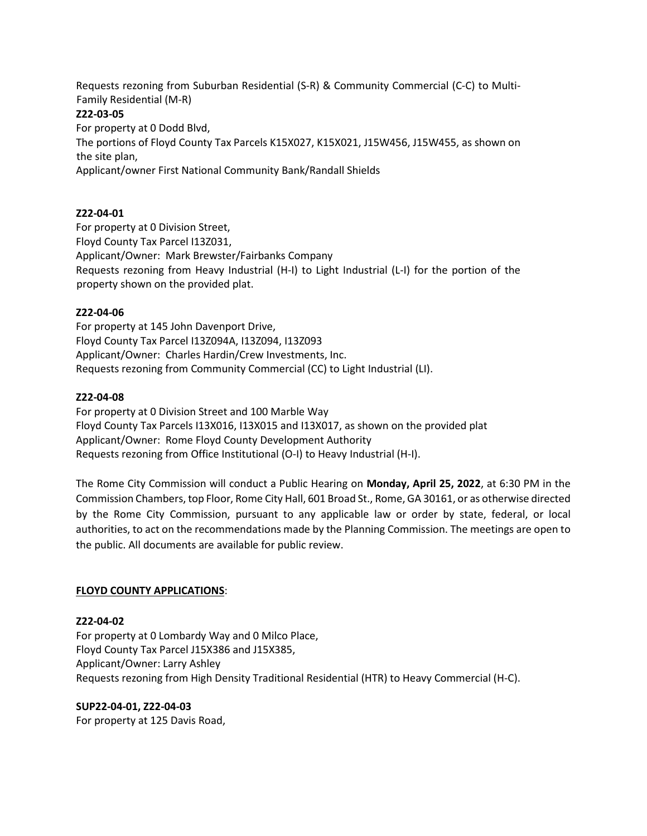Requests rezoning from Suburban Residential (S-R) & Community Commercial (C-C) to Multi-Family Residential (M-R) **Z22-03-05**  For property at 0 Dodd Blvd, The portions of Floyd County Tax Parcels K15X027, K15X021, J15W456, J15W455, as shown on the site plan,

Applicant/owner First National Community Bank/Randall Shields

# **Z22-04-01**

For property at 0 Division Street, Floyd County Tax Parcel I13Z031, Applicant/Owner: Mark Brewster/Fairbanks Company Requests rezoning from Heavy Industrial (H-I) to Light Industrial (L-I) for the portion of the property shown on the provided plat.

# **Z22-04-06**

For property at 145 John Davenport Drive, Floyd County Tax Parcel I13Z094A, I13Z094, I13Z093 Applicant/Owner: Charles Hardin/Crew Investments, Inc. Requests rezoning from Community Commercial (CC) to Light Industrial (LI).

## **Z22-04-08**

For property at 0 Division Street and 100 Marble Way Floyd County Tax Parcels I13X016, I13X015 and I13X017, as shown on the provided plat Applicant/Owner: Rome Floyd County Development Authority Requests rezoning from Office Institutional (O-I) to Heavy Industrial (H-I).

The Rome City Commission will conduct a Public Hearing on **Monday, April 25, 2022**, at 6:30 PM in the Commission Chambers, top Floor, Rome City Hall, 601 Broad St., Rome, GA 30161, or as otherwise directed by the Rome City Commission, pursuant to any applicable law or order by state, federal, or local authorities, to act on the recommendations made by the Planning Commission. The meetings are open to the public. All documents are available for public review.

#### **FLOYD COUNTY APPLICATIONS**:

#### **Z22-04-02**

For property at 0 Lombardy Way and 0 Milco Place, Floyd County Tax Parcel J15X386 and J15X385, Applicant/Owner: Larry Ashley Requests rezoning from High Density Traditional Residential (HTR) to Heavy Commercial (H-C).

#### **SUP22-04-01, Z22-04-03**

For property at 125 Davis Road,